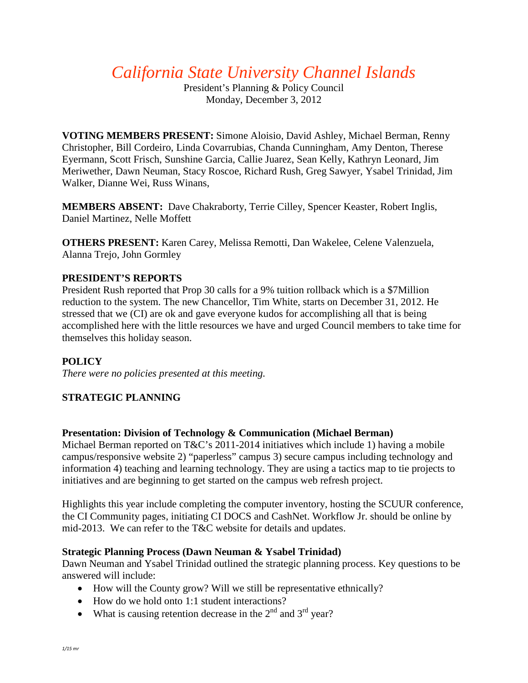*California State University Channel Islands*

President's Planning & Policy Council Monday, December 3, 2012

**VOTING MEMBERS PRESENT:** Simone Aloisio, David Ashley, Michael Berman, Renny Christopher, Bill Cordeiro, Linda Covarrubias, Chanda Cunningham, Amy Denton, Therese Eyermann, Scott Frisch, Sunshine Garcia, Callie Juarez, Sean Kelly, Kathryn Leonard, Jim Meriwether, Dawn Neuman, Stacy Roscoe, Richard Rush, Greg Sawyer, Ysabel Trinidad, Jim Walker, Dianne Wei, Russ Winans,

**MEMBERS ABSENT:** Dave Chakraborty, Terrie Cilley, Spencer Keaster, Robert Inglis, Daniel Martinez, Nelle Moffett

**OTHERS PRESENT:** Karen Carey, Melissa Remotti, Dan Wakelee, Celene Valenzuela, Alanna Trejo, John Gormley

# **PRESIDENT'S REPORTS**

President Rush reported that Prop 30 calls for a 9% tuition rollback which is a \$7Million reduction to the system. The new Chancellor, Tim White, starts on December 31, 2012. He stressed that we (CI) are ok and gave everyone kudos for accomplishing all that is being accomplished here with the little resources we have and urged Council members to take time for themselves this holiday season.

# **POLICY**

*There were no policies presented at this meeting.* 

# **STRATEGIC PLANNING**

### **Presentation: Division of Technology & Communication (Michael Berman)**

Michael Berman reported on T&C's 2011-2014 initiatives which include 1) having a mobile campus/responsive website 2) "paperless" campus 3) secure campus including technology and information 4) teaching and learning technology. They are using a tactics map to tie projects to initiatives and are beginning to get started on the campus web refresh project.

Highlights this year include completing the computer inventory, hosting the SCUUR conference, the CI Community pages, initiating CI DOCS and CashNet. Workflow Jr. should be online by mid-2013. We can refer to the T&C website for details and updates.

### **Strategic Planning Process (Dawn Neuman & Ysabel Trinidad)**

Dawn Neuman and Ysabel Trinidad outlined the strategic planning process. Key questions to be answered will include:

- How will the County grow? Will we still be representative ethnically?
- How do we hold onto 1:1 student interactions?
- What is causing retention decrease in the  $2<sup>nd</sup>$  and  $3<sup>rd</sup>$  year?